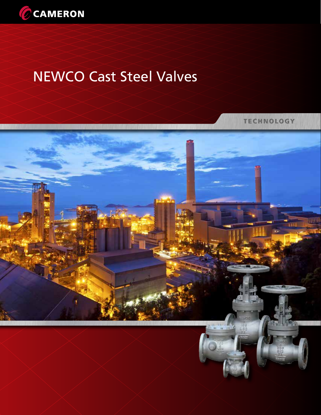

# NEWCO Cast Steel Valves

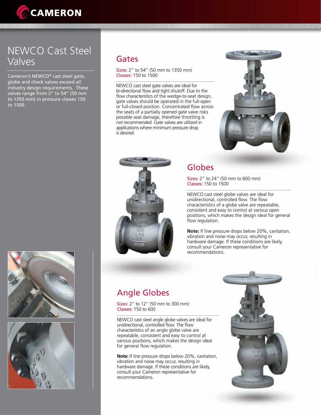

## Newco Cast Steel Valves

Cameron's NEWCO® cast steel gate, globe and check valves exceed all industry design requirements. These valves range from 2" to 54" (50 mm to 1350 mm) in pressure classes 150 to 1500.





#### Gates

Sizes: 2" to 54" (50 mm to 1350 mm) Classes: 150 to 1500

NEWCO cast steel gate valves are ideal for bi-directional flow and tight shutoff. Due to the flow characteristics of the wedge-to-seat design, gate valves should be operated in the full-open or full-closed position. Concentrated flow across the seats of a partially opened gate valve risks possible seat damage, therefore throttling is not recommended. Gate valves are utilized in applications where minimum pressure drop is desired.





## Globes

Sizes: 2" to 24" (50 mm to 600 mm) Classes: 150 to 1500

NEWCO cast steel globe valves are ideal for unidirectional, controlled flow. The flow characteristics of a globe valve are repeatable, consistent and easy to control at various open positions, which makes the design ideal for general flow regulation.

**Note:** If line pressure drops below 20%, cavitation, vibration and noise may occur, resulting in hardware damage. If these conditions are likely, consult your Cameron representative for recommendations.

## Angle Globes

Sizes: 2" to 12" (50 mm to 300 mm) Classes: 150 to 600

NEWCO cast steel angle globe valves are ideal for unidirectional, controlled flow. The flow characteristics of an angle globe valve are repeatable, consistent and easy to control at various positions, which makes the design ideal for general flow regulation.

**Note:** If line pressure drops below 20%, cavitation, vibration and noise may occur, resulting in hardware damage. If these conditions are likely, consult your Cameron representative for recommendations.

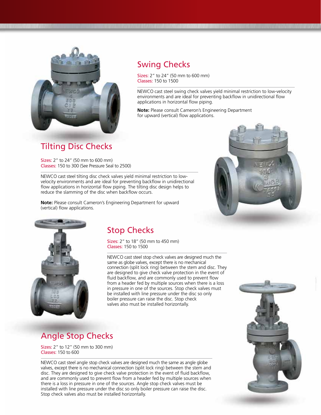

### Swing Checks

Sizes: 2" to 24" (50 mm to 600 mm) Classes: 150 to 1500

NEWCO cast steel swing check valves yield minimal restriction to low-velocity environments and are ideal for preventing backflow in unidirectional flow applications in horizontal flow piping.

**Note:** Please consult Cameron's Engineering Department for upward (vertical) flow applications.

#### Tilting Disc Checks

Sizes: 2" to 24" (50 mm to 600 mm) Classes: 150 to 300 (See Pressure Seal to 2500)

NEWCO cast steel tilting disc check valves yield minimal restriction to lowvelocity environments and are ideal for preventing backflow in unidirectional flow applications in horizontal flow piping. The tilting disc design helps to reduce the slamming of the disc when backflow occurs.

**Note:** Please consult Cameron's Engineering Department for upward (vertical) flow applications.





#### Stop Checks

Sizes: 2" to 18" (50 mm to 450 mm) Classes: 150 to 1500

NEWCO cast steel stop check valves are designed much the same as globe valves, except there is no mechanical connection (split lock ring) between the stem and disc. They are designed to give check valve protection in the event of fluid backflow, and are commonly used to prevent flow from a header fed by multiple sources when there is a loss in pressure in one of the sources. Stop check valves must be installed with line pressure under the disc so only boiler pressure can raise the disc. Stop check valves also must be installed horizontally.

## Angle Stop Checks

Sizes: 2" to 12" (50 mm to 300 mm) Classes: 150 to 600

NEWCO cast steel angle stop check valves are designed much the same as angle globe valves, except there is no mechanical connection (split lock ring) between the stem and disc. They are designed to give check valve protection in the event of fluid backflow, and are commonly used to prevent flow from a header fed by multiple sources when there is a loss in pressure in one of the sources. Angle stop check valves must be installed with line pressure under the disc so only boiler pressure can raise the disc. Stop check valves also must be installed horizontally.